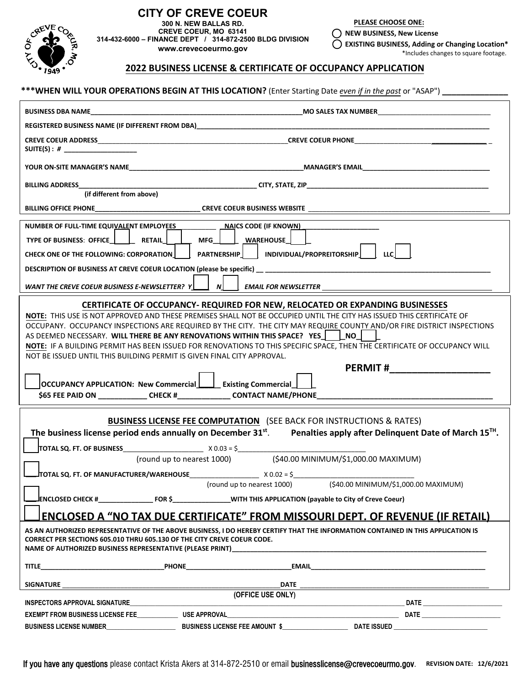

#### **CITY OF CREVE COEUR 300 N. NEW BALLAS RD. CREVE COEUR, MO 63141 314-432-6000 – FINANCE DEPT / 314-872-2500 BLDG DIVISION www.crevecoeurmo.gov**

**PLEASE CHOOSE ONE:** 

 $\bigcirc$  NEW BUSINESS, New License

 $\bigcirc$  EXISTING BUSINESS, Adding or Changing Location\* \*Includes changes to square footage.

## **2022 BUSINESS LICENSE & CERTIFICATE OF OCCUPANCY APPLICATION**

## \*\*\*WHEN WILL YOUR OPERATIONS BEGIN AT THIS LOCATION? (Enter Starting Date even if in the past or "ASAP")

|                                                                                                                                                                                                                                                                                                                                                                                                                                                                                                                                                                                                                                                                                                                                                                                                                                           | REGISTERED BUSINESS NAME (IF DIFFERENT FROM DBA)                                                                     |                                                                                                                              |  |  |  |  |  |  |
|-------------------------------------------------------------------------------------------------------------------------------------------------------------------------------------------------------------------------------------------------------------------------------------------------------------------------------------------------------------------------------------------------------------------------------------------------------------------------------------------------------------------------------------------------------------------------------------------------------------------------------------------------------------------------------------------------------------------------------------------------------------------------------------------------------------------------------------------|----------------------------------------------------------------------------------------------------------------------|------------------------------------------------------------------------------------------------------------------------------|--|--|--|--|--|--|
| SUITE(S) : # ____________________                                                                                                                                                                                                                                                                                                                                                                                                                                                                                                                                                                                                                                                                                                                                                                                                         |                                                                                                                      |                                                                                                                              |  |  |  |  |  |  |
|                                                                                                                                                                                                                                                                                                                                                                                                                                                                                                                                                                                                                                                                                                                                                                                                                                           |                                                                                                                      |                                                                                                                              |  |  |  |  |  |  |
|                                                                                                                                                                                                                                                                                                                                                                                                                                                                                                                                                                                                                                                                                                                                                                                                                                           |                                                                                                                      |                                                                                                                              |  |  |  |  |  |  |
|                                                                                                                                                                                                                                                                                                                                                                                                                                                                                                                                                                                                                                                                                                                                                                                                                                           |                                                                                                                      |                                                                                                                              |  |  |  |  |  |  |
| NUMBER OF FULL-TIME EQUIVALENT EMPLOYEES ___________ __ NAICS CODE (IF KNOWN) __<br>TYPE OF BUSINESS: OFFICE   RETAIL   MFG   WAREHOUSE<br>CHECK ONE OF THE FOLLOWING: CORPORATION     PARTNERSHIP   INDIVIDUAL/PROPREITORSHIP   LLC<br>WANT THE CREVE COEUR BUSINESS E-NEWSLETTER? $Y$                                                                                                                                                                                                                                                                                                                                                                                                                                                                                                                                                   |                                                                                                                      |                                                                                                                              |  |  |  |  |  |  |
|                                                                                                                                                                                                                                                                                                                                                                                                                                                                                                                                                                                                                                                                                                                                                                                                                                           |                                                                                                                      |                                                                                                                              |  |  |  |  |  |  |
| <b>CERTIFICATE OF OCCUPANCY- REQUIRED FOR NEW, RELOCATED OR EXPANDING BUSINESSES</b><br>NOTE: THIS USE IS NOT APPROVED AND THESE PREMISES SHALL NOT BE OCCUPIED UNTIL THE CITY HAS ISSUED THIS CERTIFICATE OF<br>OCCUPANY. OCCUPANCY INSPECTIONS ARE REQUIRED BY THE CITY. THE CITY MAY REQUIRE COUNTY AND/OR FIRE DISTRICT INSPECTIONS<br>AS DEEMED NECESSARY. WILL THERE BE ANY RENOVATIONS WITHIN THIS SPACE? YES   NO<br>NOTE: IF A BUILDING PERMIT HAS BEEN ISSUED FOR RENOVATIONS TO THIS SPECIFIC SPACE, THEN THE CERTIFICATE OF OCCUPANCY WILL<br>NOT BE ISSUED UNTIL THIS BUILDING PERMIT IS GIVEN FINAL CITY APPROVAL.<br>PERMIT # __________________<br>OCCUPANCY APPLICATION: New Commercial   Existing Commercial  <br>\$65 FEE PAID ON _______________CHECK #________________CONTACT NAME/PHONE____________________________ |                                                                                                                      |                                                                                                                              |  |  |  |  |  |  |
|                                                                                                                                                                                                                                                                                                                                                                                                                                                                                                                                                                                                                                                                                                                                                                                                                                           |                                                                                                                      |                                                                                                                              |  |  |  |  |  |  |
|                                                                                                                                                                                                                                                                                                                                                                                                                                                                                                                                                                                                                                                                                                                                                                                                                                           | <b>BUSINESS LICENSE FEE COMPUTATION</b> (SEE BACK FOR INSTRUCTIONS & RATES)                                          |                                                                                                                              |  |  |  |  |  |  |
|                                                                                                                                                                                                                                                                                                                                                                                                                                                                                                                                                                                                                                                                                                                                                                                                                                           |                                                                                                                      | The business license period ends annually on December $31^{st}$ . Penalties apply after Delinguent Date of March $15^{Th}$ . |  |  |  |  |  |  |
|                                                                                                                                                                                                                                                                                                                                                                                                                                                                                                                                                                                                                                                                                                                                                                                                                                           | (round up to nearest 1000) (\$40.00 MINIMUM/\$1,000.00 MAXIMUM)                                                      |                                                                                                                              |  |  |  |  |  |  |
|                                                                                                                                                                                                                                                                                                                                                                                                                                                                                                                                                                                                                                                                                                                                                                                                                                           |                                                                                                                      |                                                                                                                              |  |  |  |  |  |  |
|                                                                                                                                                                                                                                                                                                                                                                                                                                                                                                                                                                                                                                                                                                                                                                                                                                           | (round up to nearest 1000)                                                                                           | (\$40.00 MINIMUM/\$1,000.00 MAXIMUM)                                                                                         |  |  |  |  |  |  |
|                                                                                                                                                                                                                                                                                                                                                                                                                                                                                                                                                                                                                                                                                                                                                                                                                                           | ENCLOSED CHECK #_____________________FOR \$___________________WITH THIS APPLICATION (payable to City of Creve Coeur) |                                                                                                                              |  |  |  |  |  |  |
| ENCLOSED A "NO TAX DUE CERTIFICATE" FROM MISSOURI DEPT. OF REVENUE (IF RETAIL)                                                                                                                                                                                                                                                                                                                                                                                                                                                                                                                                                                                                                                                                                                                                                            |                                                                                                                      |                                                                                                                              |  |  |  |  |  |  |
| AS AN AUTHORIZED REPRESENTATIVE OF THE ABOVE BUSINESS, I DO HEREBY CERTIFY THAT THE INFORMATION CONTAINED IN THIS APPLICATION IS<br><b>CORRECT PER SECTIONS 605.010 THRU 605.130 OF THE CITY CREVE COEUR CODE.</b><br>NAME OF AUTHORIZED BUSINESS REPRESENTATIVE (PLEASE PRINT)                                                                                                                                                                                                                                                                                                                                                                                                                                                                                                                                                           |                                                                                                                      |                                                                                                                              |  |  |  |  |  |  |
|                                                                                                                                                                                                                                                                                                                                                                                                                                                                                                                                                                                                                                                                                                                                                                                                                                           | TITLE PHONE PHONE EMAIL EMAIL CONTRACT AND RESERVE THE EMAIL CONTRACT OF A SERVER AND RESERVE THE CONTRACT OF A      |                                                                                                                              |  |  |  |  |  |  |
| <b>SIGNATURE</b>                                                                                                                                                                                                                                                                                                                                                                                                                                                                                                                                                                                                                                                                                                                                                                                                                          |                                                                                                                      |                                                                                                                              |  |  |  |  |  |  |
| INSPECTORS APPROVAL SIGNATURE                                                                                                                                                                                                                                                                                                                                                                                                                                                                                                                                                                                                                                                                                                                                                                                                             |                                                                                                                      |                                                                                                                              |  |  |  |  |  |  |
|                                                                                                                                                                                                                                                                                                                                                                                                                                                                                                                                                                                                                                                                                                                                                                                                                                           |                                                                                                                      |                                                                                                                              |  |  |  |  |  |  |
|                                                                                                                                                                                                                                                                                                                                                                                                                                                                                                                                                                                                                                                                                                                                                                                                                                           |                                                                                                                      |                                                                                                                              |  |  |  |  |  |  |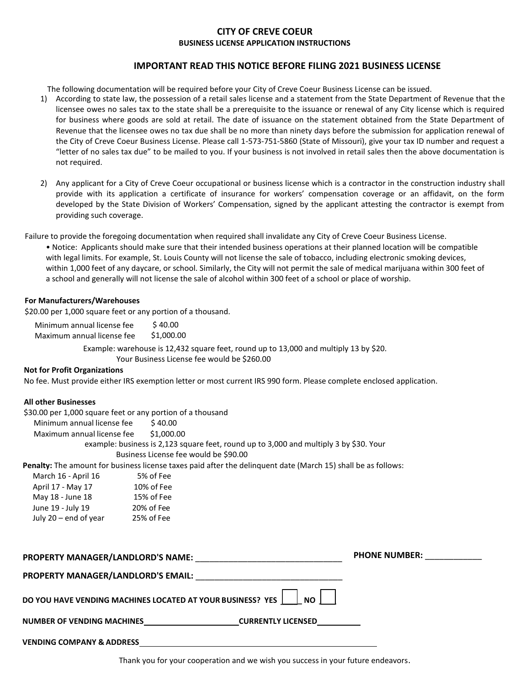## **CITY OF CREVE COEUR BUSINESS LICENSE APPLICATION INSTRUCTIONS**

# **IMPORTANT READ THIS NOTICE BEFORE FILING 2021 BUSINESS LICENSE**

The following documentation will be required before your City of Creve Coeur Business License can be issued.

- 1) According to state law, the possession of a retail sales license and a statement from the State Department of Revenue that the licensee owes no sales tax to the state shall be a prerequisite to the issuance or renewal of any City license which is required for business where goods are sold at retail. The date of issuance on the statement obtained from the State Department of Revenue that the licensee owes no tax due shall be no more than ninety days before the submission for application renewal of the City of Creve Coeur Business License. Please call 1-573-751-5860 (State of Missouri), give your tax ID number and request a "letter of no sales tax due" to be mailed to you. If your business is not involved in retail sales then the above documentation is not required.
- 2) Any applicant for a City of Creve Coeur occupational or business license which is a contractor in the construction industry shall provide with its application a certificate of insurance for workers' compensation coverage or an affidavit, on the form developed by the State Division of Workers' Compensation, signed by the applicant attesting the contractor is exempt from providing such coverage.

Failure to provide the foregoing documentation when required shall invalidate any City of Creve Coeur Business License.

• Notice: Applicants should make sure that their intended business operations at their planned location will be compatible with legal limits. For example, St. Louis County will not license the sale of tobacco, including electronic smoking devices, within 1,000 feet of any daycare, or school. Similarly, the City will not permit the sale of medical marijuana within 300 feet of a school and generally will not license the sale of alcohol within 300 feet of a school or place of worship.

#### **For Manufacturers/Warehouses**

\$20.00 per 1,000 square feet or any portion of a thousand.

Minimum annual license fee \$40.00 Maximum annual license fee \$1,000.00

> xample: warehouse is 12,432 square feet, round up to 13,000 and multiply 13 by \$20. Your Business License fee would be \$260.00

## **Not for Profit Organizations**

No fee. Must provide either IRS exemption letter or most current IRS 990 form. Please complete enclosed application.

#### **All other Businesses**

| AII ULIIEI DUSIIIESSES                |                                                            |                                                                                                                      |                      |
|---------------------------------------|------------------------------------------------------------|----------------------------------------------------------------------------------------------------------------------|----------------------|
|                                       | \$30.00 per 1,000 square feet or any portion of a thousand |                                                                                                                      |                      |
| Minimum annual license fee \$40.00    |                                                            |                                                                                                                      |                      |
| Maximum annual license fee \$1,000.00 |                                                            |                                                                                                                      |                      |
|                                       |                                                            | example: business is 2,123 square feet, round up to 3,000 and multiply 3 by \$30. Your                               |                      |
|                                       | Business License fee would be \$90.00                      |                                                                                                                      |                      |
|                                       |                                                            | <b>Penalty:</b> The amount for business license taxes paid after the delinguent date (March 15) shall be as follows: |                      |
| March 16 - April 16 5% of Fee         |                                                            |                                                                                                                      |                      |
| April 17 - May 17 10% of Fee          |                                                            |                                                                                                                      |                      |
| May 18 - June 18 15% of Fee           |                                                            |                                                                                                                      |                      |
| June 19 - July 19 20% of Fee          |                                                            |                                                                                                                      |                      |
| July 20 - end of year 25% of Fee      |                                                            |                                                                                                                      |                      |
|                                       |                                                            | PROPERTY MANAGER/LANDLORD'S NAME: NAMEL AND THE RESERVE TO A SERVE THE RESERVE TO A SERVE THE RESERVE TO A SER       | <b>PHONE NUMBER:</b> |
|                                       |                                                            |                                                                                                                      |                      |
|                                       |                                                            |                                                                                                                      |                      |
|                                       | DO YOU HAVE VENDING MACHINES LOCATED AT YOUR BUSINESS? YES | NO II                                                                                                                |                      |
|                                       |                                                            | NUMBER OF VENDING MACHINES______________________________CURRENTLY LICENSED________                                   |                      |
| <b>VENDING COMPANY &amp; ADDRESS</b>  |                                                            |                                                                                                                      |                      |

Thank you for your cooperation and we wish you success in your future endeavors.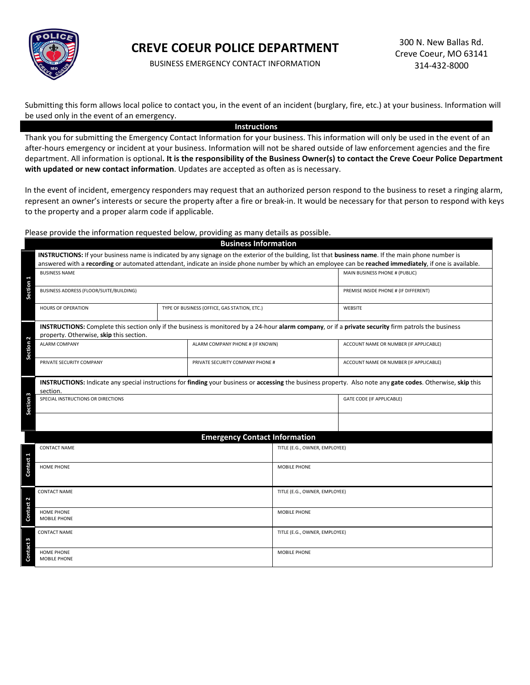

# **CREVE COEUR POLICE DEPARTMENT**

BUSINESS EMERGENCY CONTACT INFORMATION

Submitting this form allows local police to contact you, in the event of an incident (burglary, fire, etc.) at your business. Information will be used only in the event of an emergency.

#### **Instructions**

Thank you for submitting the Emergency Contact Information for your business. This information will only be used in the event of an after-hours emergency or incident at your business. Information will not be shared outside of law enforcement agencies and the fire department. All information is optional**. It is the responsibility of the Business Owner(s) to contact the Creve Coeur Police Department with updated or new contact information**. Updates are accepted as often as is necessary.

In the event of incident, emergency responders may request that an authorized person respond to the business to reset a ringing alarm, represent an owner's interests or secure the property after a fire or break-in. It would be necessary for that person to respond with keys to the property and a proper alarm code if applicable.

Please provide the information requested below, providing as many details as possible.

|                                                                                                                                                                          | <b>Business Information</b>                                                                                                                                                                                                                                                                                      |                                  |                                              |                               |                                        |  |  |  |  |
|--------------------------------------------------------------------------------------------------------------------------------------------------------------------------|------------------------------------------------------------------------------------------------------------------------------------------------------------------------------------------------------------------------------------------------------------------------------------------------------------------|----------------------------------|----------------------------------------------|-------------------------------|----------------------------------------|--|--|--|--|
|                                                                                                                                                                          | INSTRUCTIONS: If your business name is indicated by any signage on the exterior of the building, list that business name. If the main phone number is<br>answered with a recording or automated attendant, indicate an inside phone number by which an employee can be reached immediately, if one is available. |                                  |                                              |                               |                                        |  |  |  |  |
|                                                                                                                                                                          | <b>BUSINESS NAME</b>                                                                                                                                                                                                                                                                                             |                                  | MAIN BUSINESS PHONE # (PUBLIC)               |                               |                                        |  |  |  |  |
| Section <sub>1</sub>                                                                                                                                                     | BUSINESS ADDRESS (FLOOR/SUITE/BUILDING)                                                                                                                                                                                                                                                                          |                                  |                                              |                               | PREMISE INSIDE PHONE # (IF DIFFERENT)  |  |  |  |  |
|                                                                                                                                                                          | <b>HOURS OF OPERATION</b>                                                                                                                                                                                                                                                                                        |                                  | TYPE OF BUSINESS (OFFICE, GAS STATION, ETC.) |                               | <b>WEBSITE</b>                         |  |  |  |  |
|                                                                                                                                                                          | <b>INSTRUCTIONS:</b> Complete this section only if the business is monitored by a 24-hour alarm company, or if a private security firm patrols the business<br>property. Otherwise, skip this section.                                                                                                           |                                  |                                              |                               |                                        |  |  |  |  |
| Section <sub>2</sub>                                                                                                                                                     | <b>ALARM COMPANY</b>                                                                                                                                                                                                                                                                                             | ALARM COMPANY PHONE # (IF KNOWN) |                                              |                               | ACCOUNT NAME OR NUMBER (IF APPLICABLE) |  |  |  |  |
|                                                                                                                                                                          | PRIVATE SECURITY COMPANY                                                                                                                                                                                                                                                                                         | PRIVATE SECURITY COMPANY PHONE # |                                              |                               | ACCOUNT NAME OR NUMBER (IF APPLICABLE) |  |  |  |  |
| INSTRUCTIONS: Indicate any special instructions for finding your business or accessing the business property. Also note any gate codes. Otherwise, skip this<br>section. |                                                                                                                                                                                                                                                                                                                  |                                  |                                              |                               |                                        |  |  |  |  |
| Section <sub>3</sub>                                                                                                                                                     | SPECIAL INSTRUCTIONS OR DIRECTIONS                                                                                                                                                                                                                                                                               |                                  |                                              |                               | GATE CODE (IF APPLICABLE)              |  |  |  |  |
|                                                                                                                                                                          |                                                                                                                                                                                                                                                                                                                  |                                  |                                              |                               |                                        |  |  |  |  |
|                                                                                                                                                                          |                                                                                                                                                                                                                                                                                                                  |                                  | <b>Emergency Contact Information</b>         |                               |                                        |  |  |  |  |
|                                                                                                                                                                          | <b>CONTACT NAME</b>                                                                                                                                                                                                                                                                                              |                                  |                                              | TITLE (E.G., OWNER, EMPLOYEE) |                                        |  |  |  |  |
| Contact 1                                                                                                                                                                | HOME PHONE                                                                                                                                                                                                                                                                                                       |                                  | MOBILE PHONE                                 |                               |                                        |  |  |  |  |
| 2<br>$\overline{a}$                                                                                                                                                      | <b>CONTACT NAME</b>                                                                                                                                                                                                                                                                                              |                                  | TITLE (E.G., OWNER, EMPLOYEE)                |                               |                                        |  |  |  |  |
| Conta                                                                                                                                                                    | HOME PHONE<br>MOBILE PHONE                                                                                                                                                                                                                                                                                       |                                  |                                              | MOBILE PHONE                  |                                        |  |  |  |  |
| ntact 3                                                                                                                                                                  | <b>CONTACT NAME</b>                                                                                                                                                                                                                                                                                              |                                  |                                              | TITLE (E.G., OWNER, EMPLOYEE) |                                        |  |  |  |  |
| ā                                                                                                                                                                        | HOME PHONE<br>MOBILE PHONE                                                                                                                                                                                                                                                                                       |                                  | MOBILE PHONE                                 |                               |                                        |  |  |  |  |